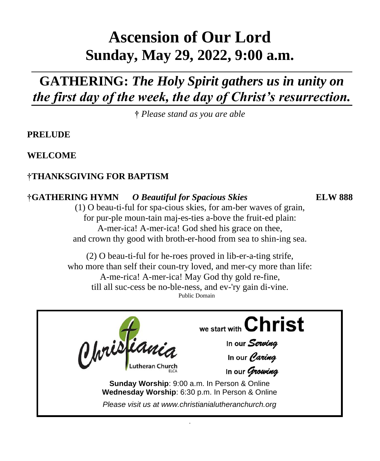# **Ascension of Our Lord Sunday, May 29, 2022, 9:00 a.m.**

# **GATHERING:** *The Holy Spirit gathers us in unity on the first day of the week, the day of Christ's resurrection.*

**†** *Please stand as you are able*

**PRELUDE** 

**WELCOME**

# **†THANKSGIVING FOR BAPTISM**

## **†GATHERING HYMN** *O Beautiful for Spacious Skies* **ELW 888**

(1) O beau-ti-ful for spa-cious skies, for am-ber waves of grain, for pur-ple moun-tain maj-es-ties a-bove the fruit-ed plain: A-mer-ica! A-mer-ica! God shed his grace on thee, and crown thy good with broth-er-hood from sea to shin-ing sea.

(2) O beau-ti-ful for he-roes proved in lib-er-a-ting strife, who more than self their coun-try loved, and mer-cy more than life: A-me-rica! A-mer-ica! May God thy gold re-fine, till all suc-cess be no-ble-ness, and ev-'ry gain di-vine. Public Domain



.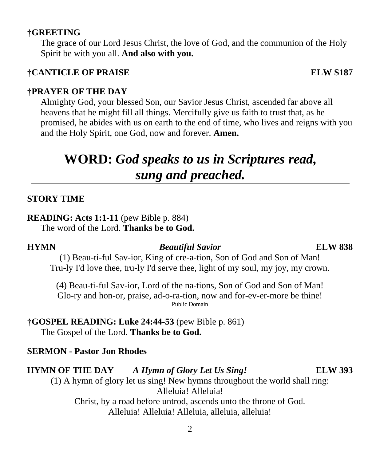#### **†GREETING**

The grace of our Lord Jesus Christ, the love of God, and the communion of the Holy Spirit be with you all. **And also with you.**

#### **†CANTICLE OF PRAISE ELW S187**

#### **†PRAYER OF THE DAY**

Almighty God, your blessed Son, our Savior Jesus Christ, ascended far above all heavens that he might fill all things. Mercifully give us faith to trust that, as he promised, he abides with us on earth to the end of time, who lives and reigns with you and the Holy Spirit, one God, now and forever. **Amen.**

# **WORD:** *God speaks to us in Scriptures read, sung and preached.*

#### **STORY TIME**

#### **READING: Acts 1:1-11** (pew Bible p. 884)

The word of the Lord. **Thanks be to God.**

#### **HYMN** *Beautiful Savior* **ELW 838**

(1) Beau-ti-ful Sav-ior, King of cre-a-tion, Son of God and Son of Man! Tru-ly I'd love thee, tru-ly I'd serve thee, light of my soul, my joy, my crown.

(4) Beau-ti-ful Sav-ior, Lord of the na-tions, Son of God and Son of Man! Glo-ry and hon-or, praise, ad-o-ra-tion, now and for-ev-er-more be thine! Public Domain

**†GOSPEL READING: Luke 24:44-53** (pew Bible p. 861) The Gospel of the Lord. **Thanks be to God.**

### **SERMON - Pastor Jon Rhodes**

### **HYMN OF THE DAY** *A Hymn of Glory Let Us Sing!* **ELW 393**

(1) A hymn of glory let us sing! New hymns throughout the world shall ring: Alleluia! Alleluia!

Christ, by a road before untrod, ascends unto the throne of God. Alleluia! Alleluia! Alleluia, alleluia, alleluia!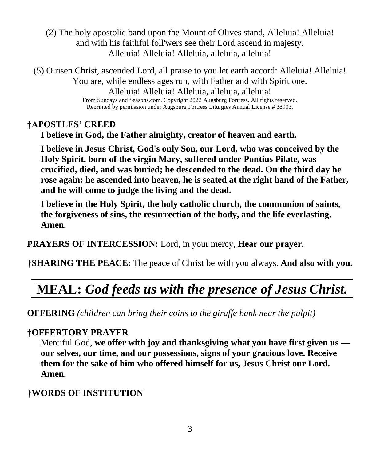(2) The holy apostolic band upon the Mount of Olives stand, Alleluia! Alleluia! and with his faithful foll'wers see their Lord ascend in majesty. Alleluia! Alleluia! Alleluia, alleluia, alleluia!

(5) O risen Christ, ascended Lord, all praise to you let earth accord: Alleluia! Alleluia! You are, while endless ages run, with Father and with Spirit one. Alleluia! Alleluia! Alleluia, alleluia, alleluia! From Sundays and Seasons.com. Copyright 2022 Augsburg Fortress. All rights reserved. Reprinted by permission under Augsburg Fortress Liturgies Annual License # 38903.

## **†APOSTLES' CREED**

**I believe in God, the Father almighty, creator of heaven and earth.** 

**I believe in Jesus Christ, God's only Son, our Lord, who was conceived by the Holy Spirit, born of the virgin Mary, suffered under Pontius Pilate, was crucified, died, and was buried; he descended to the dead. On the third day he rose again; he ascended into heaven, he is seated at the right hand of the Father, and he will come to judge the living and the dead.** 

**I believe in the Holy Spirit, the holy catholic church, the communion of saints, the forgiveness of sins, the resurrection of the body, and the life everlasting. Amen.**

**PRAYERS OF INTERCESSION:** Lord, in your mercy, **Hear our prayer.**

**†SHARING THE PEACE:** The peace of Christ be with you always. **And also with you.**

# **MEAL:** *God feeds us with the presence of Jesus Christ.*

**OFFERING** *(children can bring their coins to the giraffe bank near the pulpit)*

## **†OFFERTORY PRAYER**

Merciful God, **we offer with joy and thanksgiving what you have first given us our selves, our time, and our possessions, signs of your gracious love. Receive them for the sake of him who offered himself for us, Jesus Christ our Lord. Amen.**

## **†WORDS OF INSTITUTION**